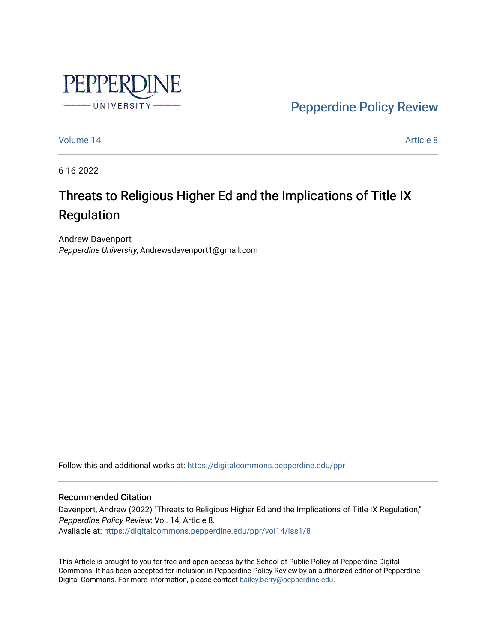

[Pepperdine Policy Review](https://digitalcommons.pepperdine.edu/ppr) 

[Volume 14](https://digitalcommons.pepperdine.edu/ppr/vol14) Article 8

6-16-2022

# Threats to Religious Higher Ed and the Implications of Title IX Regulation

Andrew Davenport Pepperdine University, Andrewsdavenport1@gmail.com

Follow this and additional works at: [https://digitalcommons.pepperdine.edu/ppr](https://digitalcommons.pepperdine.edu/ppr?utm_source=digitalcommons.pepperdine.edu%2Fppr%2Fvol14%2Fiss1%2F8&utm_medium=PDF&utm_campaign=PDFCoverPages)

## Recommended Citation

Davenport, Andrew (2022) "Threats to Religious Higher Ed and the Implications of Title IX Regulation," Pepperdine Policy Review: Vol. 14, Article 8. Available at: [https://digitalcommons.pepperdine.edu/ppr/vol14/iss1/8](https://digitalcommons.pepperdine.edu/ppr/vol14/iss1/8?utm_source=digitalcommons.pepperdine.edu%2Fppr%2Fvol14%2Fiss1%2F8&utm_medium=PDF&utm_campaign=PDFCoverPages)

This Article is brought to you for free and open access by the School of Public Policy at Pepperdine Digital Commons. It has been accepted for inclusion in Pepperdine Policy Review by an authorized editor of Pepperdine Digital Commons. For more information, please contact [bailey.berry@pepperdine.edu.](mailto:bailey.berry@pepperdine.edu)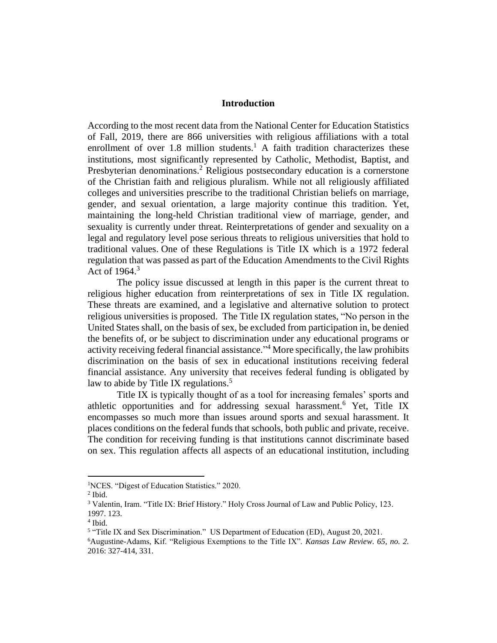### **Introduction**

According to the most recent data from the National Center for Education Statistics of Fall, 2019, there are 866 universities with religious affiliations with a total enrollment of over  $1.8$  million students.<sup>1</sup> A faith tradition characterizes these institutions, most significantly represented by Catholic, Methodist, Baptist, and Presbyterian denominations.<sup>2</sup> Religious postsecondary education is a cornerstone of the Christian faith and religious pluralism. While not all religiously affiliated colleges and universities prescribe to the traditional Christian beliefs on marriage, gender, and sexual orientation, a large majority continue this tradition. Yet, maintaining the long-held Christian traditional view of marriage, gender, and sexuality is currently under threat. Reinterpretations of gender and sexuality on a legal and regulatory level pose serious threats to religious universities that hold to traditional values. One of these Regulations is Title IX which is a 1972 federal regulation that was passed as part of the Education Amendments to the Civil Rights Act of  $1964$ <sup>3</sup>

The policy issue discussed at length in this paper is the current threat to religious higher education from reinterpretations of sex in Title IX regulation. These threats are examined, and a legislative and alternative solution to protect religious universities is proposed. The Title IX regulation states, "No person in the United States shall, on the basis of sex, be excluded from participation in, be denied the benefits of, or be subject to discrimination under any educational programs or activity receiving federal financial assistance." <sup>4</sup> More specifically, the law prohibits discrimination on the basis of sex in educational institutions receiving federal financial assistance. Any university that receives federal funding is obligated by law to abide by Title IX regulations. $5$ 

Title IX is typically thought of as a tool for increasing females' sports and athletic opportunities and for addressing sexual harassment.<sup>6</sup> Yet, Title IX encompasses so much more than issues around sports and sexual harassment. It places conditions on the federal funds that schools, both public and private, receive. The condition for receiving funding is that institutions cannot discriminate based on sex. This regulation affects all aspects of an educational institution, including

<sup>1</sup>NCES. "Digest of Education Statistics." 2020.

 $<sup>2</sup>$  Ibid.</sup>

<sup>&</sup>lt;sup>3</sup> Valentin, Iram. "Title IX: Brief History." Holy Cross Journal of Law and Public Policy, 123. 1997. 123.

<sup>4</sup> Ibid.

<sup>&</sup>lt;sup>5</sup> "Title IX and Sex Discrimination." US Department of Education (ED), August 20, 2021.

<sup>6</sup>Augustine-Adams, Kif. "Religious Exemptions to the Title IX". *Kansas Law Review. 65, no. 2.*  2016: 327-414, 331.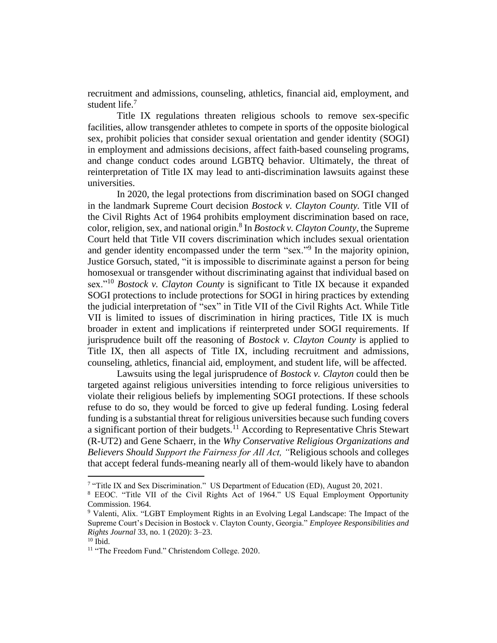recruitment and admissions, counseling, athletics, financial aid, employment, and student life.<sup>7</sup>

Title IX regulations threaten religious schools to remove sex-specific facilities, allow transgender athletes to compete in sports of the opposite biological sex, prohibit policies that consider sexual orientation and gender identity (SOGI) in employment and admissions decisions, affect faith-based counseling programs, and change conduct codes around LGBTQ behavior. Ultimately, the threat of reinterpretation of Title IX may lead to anti-discrimination lawsuits against these universities.

In 2020, the legal protections from discrimination based on SOGI changed in the landmark Supreme Court decision *Bostock v. Clayton County.* Title VII of the Civil Rights Act of 1964 prohibits employment discrimination based on race, color, religion, sex, and national origin. 8 In *Bostock v. Clayton County*, the Supreme Court held that Title VII covers discrimination which includes sexual orientation and gender identity encompassed under the term "sex."<sup>9</sup> In the majority opinion, Justice Gorsuch, stated, "it is impossible to discriminate against a person for being homosexual or transgender without discriminating against that individual based on sex."<sup>10</sup> *Bostock v. Clayton County* is significant to Title IX because it expanded SOGI protections to include protections for SOGI in hiring practices by extending the judicial interpretation of "sex" in Title VII of the Civil Rights Act. While Title VII is limited to issues of discrimination in hiring practices, Title IX is much broader in extent and implications if reinterpreted under SOGI requirements. If jurisprudence built off the reasoning of *Bostock v. Clayton County* is applied to Title IX, then all aspects of Title IX, including recruitment and admissions, counseling, athletics, financial aid, employment, and student life, will be affected.

Lawsuits using the legal jurisprudence of *Bostock v. Clayton* could then be targeted against religious universities intending to force religious universities to violate their religious beliefs by implementing SOGI protections. If these schools refuse to do so, they would be forced to give up federal funding. Losing federal funding is a substantial threat for religious universities because such funding covers a significant portion of their budgets.<sup>11</sup> According to Representative Chris Stewart (R-UT2) and Gene Schaerr, in the *Why Conservative Religious Organizations and Believers Should Support the Fairness for All Act, "*Religious schools and colleges that accept federal funds-meaning nearly all of them-would likely have to abandon

<sup>&</sup>lt;sup>7</sup> "Title IX and Sex Discrimination." US Department of Education (ED), August 20, 2021.

<sup>8</sup> EEOC. "Title VII of the Civil Rights Act of 1964." US Equal Employment Opportunity Commission. 1964.

<sup>9</sup> Valenti, Alix. "LGBT Employment Rights in an Evolving Legal Landscape: The Impact of the Supreme Court's Decision in Bostock v. Clayton County, Georgia." *Employee Responsibilities and Rights Journal* 33, no. 1 (2020): 3–23.

 $^{10}$  Ibid.

<sup>&</sup>lt;sup>11</sup> "The Freedom Fund." Christendom College. 2020.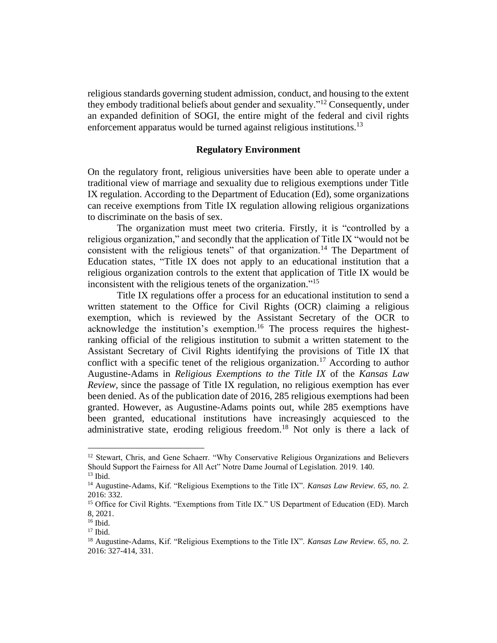religious standards governing student admission, conduct, and housing to the extent they embody traditional beliefs about gender and sexuality."<sup>12</sup> Consequently, under an expanded definition of SOGI, the entire might of the federal and civil rights enforcement apparatus would be turned against religious institutions.<sup>13</sup>

### **Regulatory Environment**

On the regulatory front, religious universities have been able to operate under a traditional view of marriage and sexuality due to religious exemptions under Title IX regulation. According to the Department of Education (Ed), some organizations can receive exemptions from Title IX regulation allowing religious organizations to discriminate on the basis of sex.

The organization must meet two criteria. Firstly, it is "controlled by a religious organization," and secondly that the application of Title IX "would not be consistent with the religious tenets" of that organization.<sup>14</sup> The Department of Education states, "Title IX does not apply to an educational institution that a religious organization controls to the extent that application of Title IX would be inconsistent with the religious tenets of the organization." 15

Title IX regulations offer a process for an educational institution to send a written statement to the Office for Civil Rights (OCR) claiming a religious exemption, which is reviewed by the Assistant Secretary of the OCR to acknowledge the institution's exemption.<sup>16</sup> The process requires the highestranking official of the religious institution to submit a written statement to the Assistant Secretary of Civil Rights identifying the provisions of Title IX that conflict with a specific tenet of the religious organization.<sup>17</sup> According to author Augustine-Adams in *Religious Exemptions to the Title IX* of the *Kansas Law Review,* since the passage of Title IX regulation, no religious exemption has ever been denied. As of the publication date of 2016, 285 religious exemptions had been granted. However, as Augustine-Adams points out, while 285 exemptions have been granted, educational institutions have increasingly acquiesced to the administrative state, eroding religious freedom. <sup>18</sup> Not only is there a lack of

<sup>&</sup>lt;sup>12</sup> Stewart, Chris, and Gene Schaerr. "Why Conservative Religious Organizations and Believers Should Support the Fairness for All Act" Notre Dame Journal of Legislation. 2019. 140.

 $13$  Ibid.

<sup>14</sup> Augustine-Adams, Kif. "Religious Exemptions to the Title IX". *Kansas Law Review. 65, no. 2.*  2016: 332.

<sup>&</sup>lt;sup>15</sup> Office for Civil Rights. "Exemptions from Title IX." US Department of Education (ED). March 8, 2021.

<sup>16</sup> Ibid.

 $17$  Ibid.

<sup>18</sup> Augustine-Adams, Kif. "Religious Exemptions to the Title IX". *Kansas Law Review. 65, no. 2.*  2016: 327-414, 331.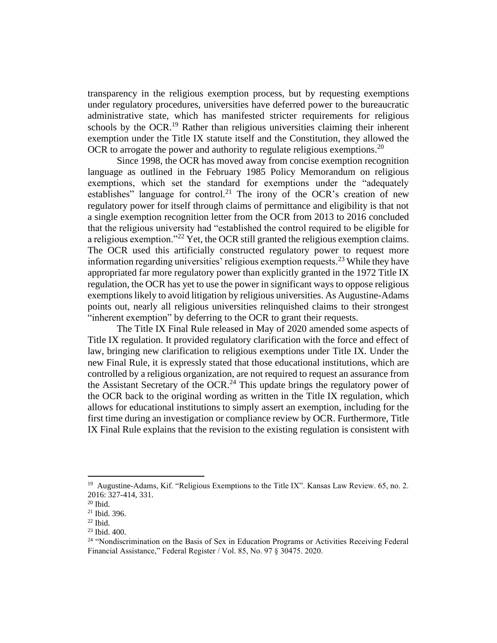transparency in the religious exemption process, but by requesting exemptions under regulatory procedures, universities have deferred power to the bureaucratic administrative state, which has manifested stricter requirements for religious schools by the OCR.<sup>19</sup> Rather than religious universities claiming their inherent exemption under the Title IX statute itself and the Constitution, they allowed the OCR to arrogate the power and authority to regulate religious exemptions.<sup>20</sup>

Since 1998, the OCR has moved away from concise exemption recognition language as outlined in the February 1985 Policy Memorandum on religious exemptions, which set the standard for exemptions under the "adequately establishes" language for control.<sup>21</sup> The irony of the OCR's creation of new regulatory power for itself through claims of permittance and eligibility is that not a single exemption recognition letter from the OCR from 2013 to 2016 concluded that the religious university had "established the control required to be eligible for a religious exemption."<sup>22</sup> Yet, the OCR still granted the religious exemption claims. The OCR used this artificially constructed regulatory power to request more information regarding universities' religious exemption requests.<sup>23</sup> While they have appropriated far more regulatory power than explicitly granted in the 1972 Title IX regulation, the OCR has yet to use the power in significant ways to oppose religious exemptions likely to avoid litigation by religious universities. As Augustine-Adams points out, nearly all religious universities relinquished claims to their strongest "inherent exemption" by deferring to the OCR to grant their requests.

The Title IX Final Rule released in May of 2020 amended some aspects of Title IX regulation. It provided regulatory clarification with the force and effect of law, bringing new clarification to religious exemptions under Title IX. Under the new Final Rule, it is expressly stated that those educational institutions, which are controlled by a religious organization, are not required to request an assurance from the Assistant Secretary of the OCR.<sup>24</sup> This update brings the regulatory power of the OCR back to the original wording as written in the Title IX regulation, which allows for educational institutions to simply assert an exemption, including for the first time during an investigation or compliance review by OCR. Furthermore, Title IX Final Rule explains that the revision to the existing regulation is consistent with

<sup>&</sup>lt;sup>19</sup> Augustine-Adams, Kif. "Religious Exemptions to the Title IX". Kansas Law Review. 65, no. 2. 2016: 327-414, 331.

<sup>20</sup> Ibid.

<sup>21</sup> Ibid. 396.

 $22$  Ibid.

<sup>23</sup> Ibid. 400.

<sup>&</sup>lt;sup>24</sup> "Nondiscrimination on the Basis of Sex in Education Programs or Activities Receiving Federal Financial Assistance," Federal Register / Vol. 85, No. 97 § 30475. 2020.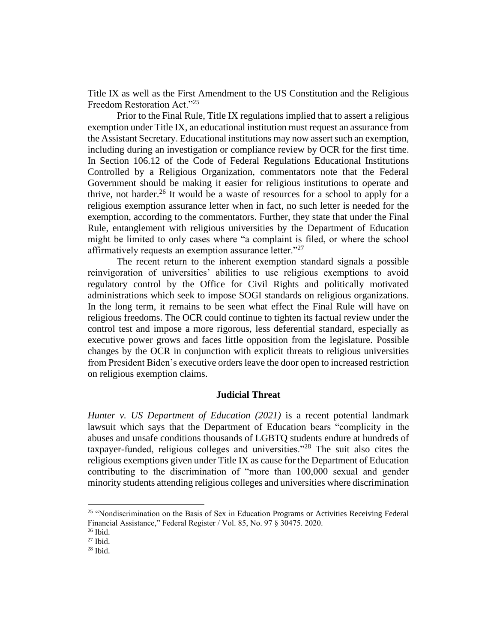Title IX as well as the First Amendment to the US Constitution and the Religious Freedom Restoration Act."<sup>25</sup>

Prior to the Final Rule, Title IX regulations implied that to assert a religious exemption under Title IX, an educational institution must request an assurance from the Assistant Secretary. Educational institutions may now assert such an exemption, including during an investigation or compliance review by OCR for the first time. In Section 106.12 of the Code of Federal Regulations Educational Institutions Controlled by a Religious Organization, commentators note that the Federal Government should be making it easier for religious institutions to operate and thrive, not harder.<sup>26</sup> It would be a waste of resources for a school to apply for a religious exemption assurance letter when in fact, no such letter is needed for the exemption, according to the commentators. Further, they state that under the Final Rule, entanglement with religious universities by the Department of Education might be limited to only cases where "a complaint is filed, or where the school affirmatively requests an exemption assurance letter."<sup>27</sup>

The recent return to the inherent exemption standard signals a possible reinvigoration of universities' abilities to use religious exemptions to avoid regulatory control by the Office for Civil Rights and politically motivated administrations which seek to impose SOGI standards on religious organizations. In the long term, it remains to be seen what effect the Final Rule will have on religious freedoms. The OCR could continue to tighten its factual review under the control test and impose a more rigorous, less deferential standard, especially as executive power grows and faces little opposition from the legislature. Possible changes by the OCR in conjunction with explicit threats to religious universities from President Biden's executive orders leave the door open to increased restriction on religious exemption claims.

#### **Judicial Threat**

*Hunter v. US Department of Education (2021)* is a recent potential landmark lawsuit which says that the Department of Education bears "complicity in the abuses and unsafe conditions thousands of LGBTQ students endure at hundreds of taxpayer-funded, religious colleges and universities."<sup>28</sup> The suit also cites the religious exemptions given under Title IX as cause for the Department of Education contributing to the discrimination of "more than 100,000 sexual and gender minority students attending religious colleges and universities where discrimination

<sup>&</sup>lt;sup>25</sup> "Nondiscrimination on the Basis of Sex in Education Programs or Activities Receiving Federal Financial Assistance," Federal Register / Vol. 85, No. 97 § 30475. 2020.

<sup>26</sup> Ibid.

<sup>27</sup> Ibid.

 $28$  Ibid.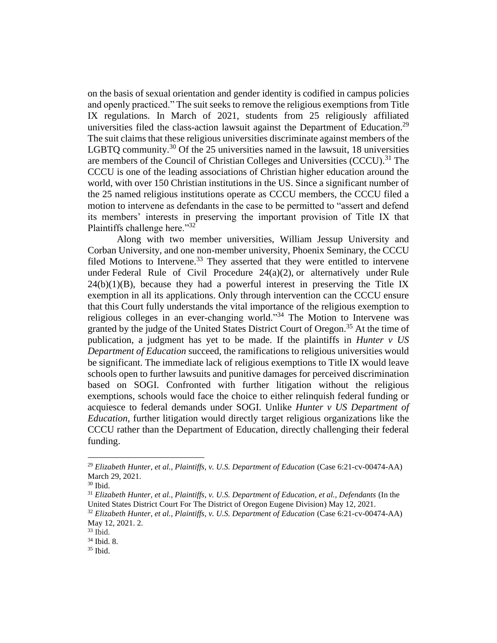on the basis of sexual orientation and gender identity is codified in campus policies and openly practiced." The suit seeks to remove the religious exemptions from Title IX regulations. In March of 2021, students from 25 religiously affiliated universities filed the class-action lawsuit against the Department of Education.<sup>29</sup> The suit claims that these religious universities discriminate against members of the LGBTQ community.<sup>30</sup> Of the 25 universities named in the lawsuit, 18 universities are members of the Council of Christian Colleges and Universities  $(CCCU)$ .<sup>31</sup> The CCCU is one of the leading associations of Christian higher education around the world, with over 150 Christian institutions in the US. Since a significant number of the 25 named religious institutions operate as CCCU members, the CCCU filed a motion to intervene as defendants in the case to be permitted to "assert and defend its members' interests in preserving the important provision of Title IX that Plaintiffs challenge here."32

Along with two member universities, William Jessup University and Corban University, and one non-member university, Phoenix Seminary, the CCCU filed Motions to Intervene.<sup>33</sup> They asserted that they were entitled to intervene under Federal Rule of Civil Procedure  $24(a)(2)$ , or alternatively under Rule  $24(b)(1)(B)$ , because they had a powerful interest in preserving the Title IX exemption in all its applications. Only through intervention can the CCCU ensure that this Court fully understands the vital importance of the religious exemption to religious colleges in an ever-changing world."<sup>34</sup> The Motion to Intervene was granted by the judge of the United States District Court of Oregon.<sup>35</sup> At the time of publication, a judgment has yet to be made. If the plaintiffs in *Hunter v US Department of Education* succeed, the ramifications to religious universities would be significant. The immediate lack of religious exemptions to Title IX would leave schools open to further lawsuits and punitive damages for perceived discrimination based on SOGI. Confronted with further litigation without the religious exemptions, schools would face the choice to either relinquish federal funding or acquiesce to federal demands under SOGI. Unlike *Hunter v US Department of Education*, further litigation would directly target religious organizations like the CCCU rather than the Department of Education, directly challenging their federal funding.

<sup>&</sup>lt;sup>29</sup> *Elizabeth Hunter, et al., Plaintiffs, v. U.S. Department of Education* (Case 6:21-cv-00474-AA) March 29, 2021.

<sup>30</sup> Ibid.

<sup>31</sup> *Elizabeth Hunter, et al., Plaintiffs, v. U.S. Department of Education, et al., Defendants* (In the United States District Court For The District of Oregon Eugene Division) May 12, 2021.

<sup>32</sup> *Elizabeth Hunter, et al., Plaintiffs, v. U.S. Department of Education* (Case 6:21-cv-00474-AA) May 12, 2021. 2.

<sup>33</sup> Ibid.

<sup>34</sup> Ibid. 8.

 $35$  Ibid.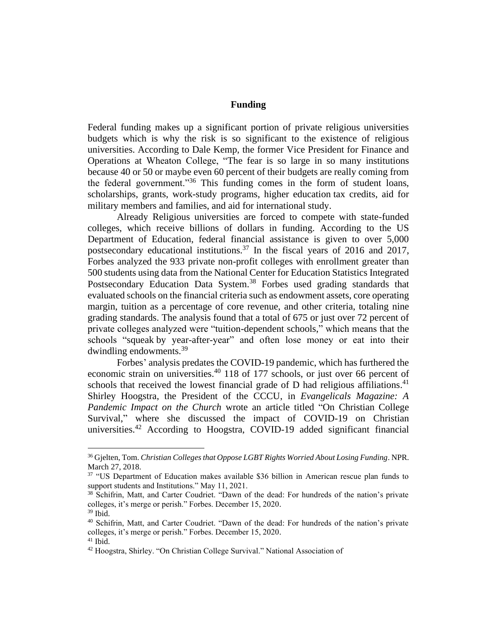# **Funding**

Federal funding makes up a significant portion of private religious universities budgets which is why the risk is so significant to the existence of religious universities. According to Dale Kemp, the former Vice President for Finance and Operations at Wheaton College, "The fear is so large in so many institutions because 40 or 50 or maybe even 60 percent of their budgets are really coming from the federal government."<sup>36</sup> This funding comes in the form of student loans, scholarships, grants, work-study programs, higher education tax credits, aid for military members and families, and aid for international study.

Already Religious universities are forced to compete with state-funded colleges, which receive billions of dollars in funding. According to the US Department of Education, federal financial assistance is given to over 5,000 postsecondary educational institutions.<sup>37</sup> In the fiscal years of 2016 and 2017, Forbes analyzed the 933 private non-profit colleges with enrollment greater than 500 students using data from the National Center for Education Statistics Integrated Postsecondary Education Data System.<sup>38</sup> Forbes used grading standards that evaluated schools on the financial criteria such as endowment assets, core operating margin, tuition as a percentage of core revenue, and other criteria, totaling nine grading standards. The analysis found that a total of 675 or just over 72 percent of private colleges analyzed were "tuition-dependent schools," which means that the schools "squeak by year-after-year" and often lose money or eat into their dwindling endowments.<sup>39</sup>

Forbes' analysis predates the COVID-19 pandemic, which has furthered the economic strain on universities.<sup>40</sup> 118 of 177 schools, or just over 66 percent of schools that received the lowest financial grade of D had religious affiliations.<sup>41</sup> Shirley Hoogstra, the President of the CCCU, in *Evangelicals Magazine: A Pandemic Impact on the Church* wrote an article titled "On Christian College Survival," where she discussed the impact of COVID-19 on Christian universities.<sup>42</sup> According to Hoogstra, COVID-19 added significant financial

<sup>36</sup> Gjelten, Tom. *Christian Colleges that Oppose LGBT Rights Worried About Losing Funding*. NPR. March 27, 2018.

<sup>&</sup>lt;sup>37</sup> "US Department of Education makes available \$36 billion in American rescue plan funds to support students and Institutions." May 11, 2021.

<sup>38</sup> Schifrin, Matt, and Carter Coudriet. "Dawn of the dead: For hundreds of the nation's private colleges, it's merge or perish." Forbes. December 15, 2020.

<sup>39</sup> Ibid.

<sup>40</sup> Schifrin, Matt, and Carter Coudriet. "Dawn of the dead: For hundreds of the nation's private colleges, it's merge or perish." Forbes. December 15, 2020.

<sup>41</sup> Ibid.

<sup>42</sup> Hoogstra, Shirley. "On Christian College Survival." National Association of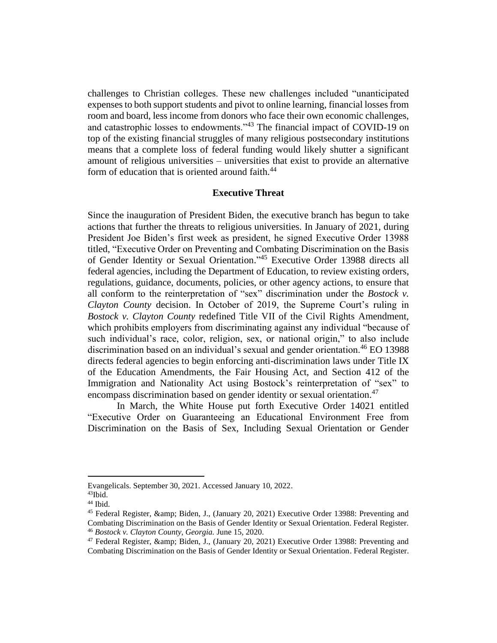challenges to Christian colleges. These new challenges included "unanticipated expenses to both support students and pivot to online learning, financial losses from room and board, less income from donors who face their own economic challenges, and catastrophic losses to endowments."<sup>43</sup> The financial impact of COVID-19 on top of the existing financial struggles of many religious postsecondary institutions means that a complete loss of federal funding would likely shutter a significant amount of religious universities – universities that exist to provide an alternative form of education that is oriented around faith.<sup>44</sup>

#### **Executive Threat**

Since the inauguration of President Biden, the executive branch has begun to take actions that further the threats to religious universities. In January of 2021, during President Joe Biden's first week as president, he signed Executive Order 13988 titled, "Executive Order on Preventing and Combating Discrimination on the Basis of Gender Identity or Sexual Orientation."<sup>45</sup> Executive Order 13988 directs all federal agencies, including the Department of Education, to review existing orders, regulations, guidance, documents, policies, or other agency actions, to ensure that all conform to the reinterpretation of "sex" discrimination under the *Bostock v. Clayton County* decision. In October of 2019, the Supreme Court's ruling in *Bostock v. Clayton County* redefined Title VII of the Civil Rights Amendment, which prohibits employers from discriminating against any individual "because of such individual's race, color, religion, sex, or national origin," to also include discrimination based on an individual's sexual and gender orientation.<sup>46</sup> EO 13988 directs federal agencies to begin enforcing anti-discrimination laws under Title IX of the Education Amendments, the Fair Housing Act, and Section 412 of the Immigration and Nationality Act using Bostock's reinterpretation of "sex" to encompass discrimination based on gender identity or sexual orientation.<sup>47</sup>

In March, the White House put forth Executive Order 14021 entitled "Executive Order on Guaranteeing an Educational Environment Free from Discrimination on the Basis of Sex, Including Sexual Orientation or Gender

Evangelicals. September 30, 2021. Accessed January 10, 2022.

 $43$ Ibid.

<sup>44</sup> Ibid.

<sup>&</sup>lt;sup>45</sup> Federal Register, & amp; Biden, J., (January 20, 2021) Executive Order 13988: Preventing and Combating Discrimination on the Basis of Gender Identity or Sexual Orientation. Federal Register. <sup>46</sup> *Bostock v. Clayton County, Georgia.* June 15, 2020.

<sup>&</sup>lt;sup>47</sup> Federal Register, & amp; Biden, J., (January 20, 2021) Executive Order 13988: Preventing and Combating Discrimination on the Basis of Gender Identity or Sexual Orientation. Federal Register.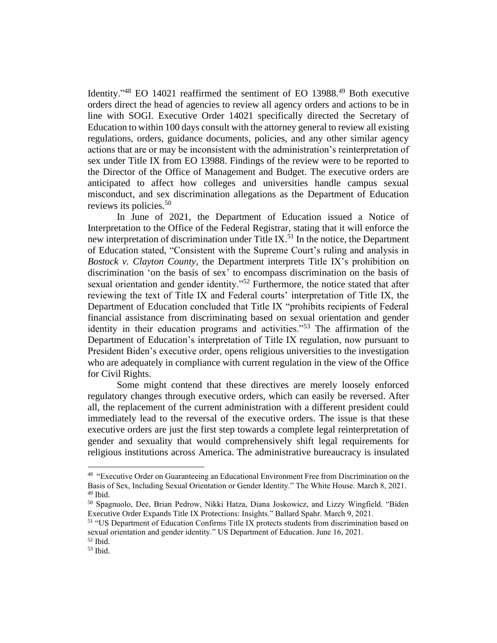Identity."<sup>48</sup> EO 14021 reaffirmed the sentiment of EO 13988.<sup>49</sup> Both executive orders direct the head of agencies to review all agency orders and actions to be in line with SOGI. Executive Order 14021 specifically directed the Secretary of Education to within 100 days consult with the attorney general to review all existing regulations, orders, guidance documents, policies, and any other similar agency actions that are or may be inconsistent with the administration's reinterpretation of sex under Title IX from EO 13988. Findings of the review were to be reported to the Director of the Office of Management and Budget. The executive orders are anticipated to affect how colleges and universities handle campus sexual misconduct, and sex discrimination allegations as the Department of Education reviews its policies. 50

In June of 2021, the Department of Education issued a [Notice of](https://www2.ed.gov/about/offices/list/ocr/docs/202106-titleix-noi.pdf)  [Interpretation](https://www2.ed.gov/about/offices/list/ocr/docs/202106-titleix-noi.pdf) to the Office of the Federal Registrar, stating that it will enforce the new interpretation of discrimination under Title IX.<sup>51</sup> In the notice, the Department of Education stated, "Consistent with the Supreme Court's ruling and analysis in *Bostock v. Clayton County*, the Department interprets Title IX's prohibition on discrimination 'on the basis of sex' to encompass discrimination on the basis of sexual orientation and gender identity."<sup>52</sup> Furthermore, the notice stated that after reviewing the text of Title IX and Federal courts' interpretation of Title IX, the Department of Education concluded that Title IX "prohibits recipients of Federal financial assistance from discriminating based on sexual orientation and gender identity in their education programs and activities."<sup>53</sup> The affirmation of the Department of Education's interpretation of Title IX regulation, now pursuant to President Biden's executive order, opens religious universities to the investigation who are adequately in compliance with current regulation in the view of the Office for Civil Rights.

Some might contend that these directives are merely loosely enforced regulatory changes through executive orders, which can easily be reversed. After all, the replacement of the current administration with a different president could immediately lead to the reversal of the executive orders. The issue is that these executive orders are just the first step towards a complete legal reinterpretation of gender and sexuality that would comprehensively shift legal requirements for religious institutions across America. The administrative bureaucracy is insulated

<sup>&</sup>lt;sup>48</sup> "Executive Order on Guaranteeing an Educational Environment Free from Discrimination on the Basis of Sex, Including Sexual Orientation or Gender Identity." The White House. March 8, 2021. <sup>49</sup> Ibid.

<sup>50</sup> Spagnuolo, Dee, Brian Pedrow, Nikki Hatza, Diana Joskowicz, and Lizzy Wingfield. "Biden Executive Order Expands Title IX Protections: Insights." Ballard Spahr. March 9, 2021.

<sup>&</sup>lt;sup>51</sup> "US Department of Education Confirms Title IX protects students from discrimination based on sexual orientation and gender identity." US Department of Education. June 16, 2021.

<sup>52</sup> Ibid.

<sup>53</sup> Ibid.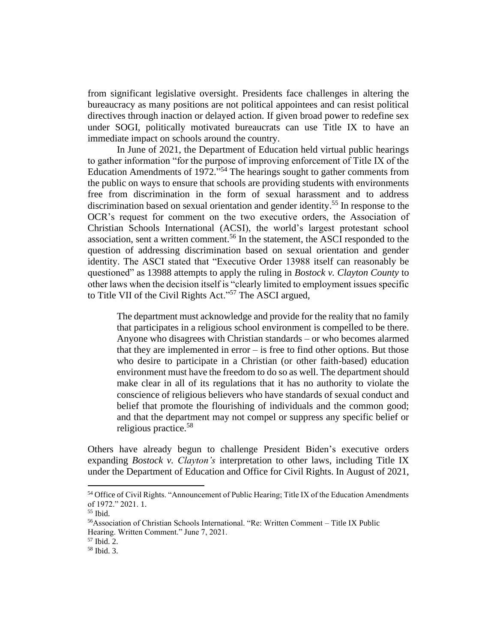from significant legislative oversight. Presidents face challenges in altering the bureaucracy as many positions are not political appointees and can resist political directives through inaction or delayed action. If given broad power to redefine sex under SOGI, politically motivated bureaucrats can use Title IX to have an immediate impact on schools around the country.

In June of 2021, the Department of Education held virtual public hearings to gather information "for the purpose of improving enforcement of Title IX of the Education Amendments of 1972."<sup>54</sup> The hearings sought to gather comments from the public on ways to ensure that schools are providing students with environments free from discrimination in the form of sexual harassment and to address discrimination based on sexual orientation and gender identity. <sup>55</sup> In response to the OCR's request for comment on the two executive orders, the Association of Christian Schools International (ACSI), the world's largest protestant school association, sent a written comment.<sup>56</sup> In the statement, the ASCI responded to the question of addressing discrimination based on sexual orientation and gender identity. The ASCI stated that "Executive Order 13988 itself can reasonably be questioned" as 13988 attempts to apply the ruling in *Bostock v. Clayton County* to other laws when the decision itself is "clearly limited to employment issues specific to Title VII of the Civil Rights Act."<sup>57</sup> The ASCI argued,

The department must acknowledge and provide for the reality that no family that participates in a religious school environment is compelled to be there. Anyone who disagrees with Christian standards – or who becomes alarmed that they are implemented in error – is free to find other options. But those who desire to participate in a Christian (or other faith-based) education environment must have the freedom to do so as well. The department should make clear in all of its regulations that it has no authority to violate the conscience of religious believers who have standards of sexual conduct and belief that promote the flourishing of individuals and the common good; and that the department may not compel or suppress any specific belief or religious practice.<sup>58</sup>

Others have already begun to challenge President Biden's executive orders expanding *Bostock v. Clayton's* interpretation to other laws, including Title IX under the Department of Education and Office for Civil Rights. In August of 2021,

<sup>&</sup>lt;sup>54</sup> Office of Civil Rights. "Announcement of Public Hearing; Title IX of the Education Amendments of 1972." 2021. 1.

<sup>55</sup> Ibid.

<sup>56</sup>Association of Christian Schools International. "Re: Written Comment – Title IX Public Hearing. Written Comment." June 7, 2021.

<sup>57</sup> Ibid. 2.

<sup>58</sup> Ibid. 3.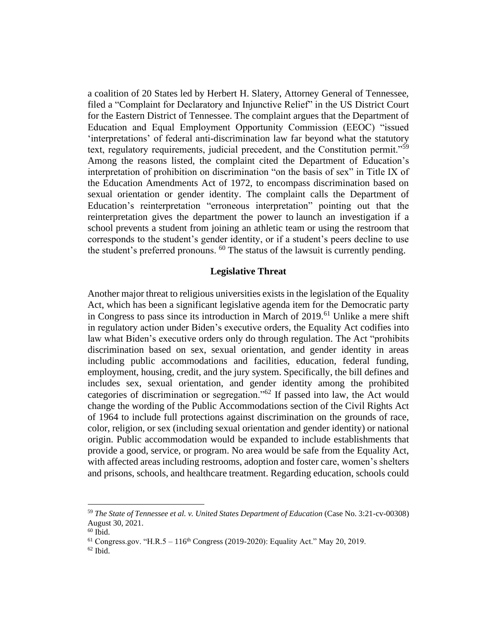a coalition of 20 States led by Herbert H. Slatery, Attorney General of Tennessee, filed a "Complaint for Declaratory and Injunctive Relief" in the US District Court for the Eastern District of Tennessee. The complaint argues that the Department of Education and Equal Employment Opportunity Commission (EEOC) "issued 'interpretations' of federal anti-discrimination law far beyond what the statutory text, regulatory requirements, judicial precedent, and the Constitution permit."<sup>59</sup> Among the reasons listed, the complaint cited the Department of Education's interpretation of prohibition on discrimination "on the basis of sex" in Title IX of the Education Amendments Act of 1972, to encompass discrimination based on sexual orientation or gender identity. The complaint calls the Department of Education's reinterpretation "erroneous interpretation" pointing out that the reinterpretation gives the department the power to launch an investigation if a school prevents a student from joining an athletic team or using the restroom that corresponds to the student's gender identity, or if a student's peers decline to use the student's preferred pronouns. <sup>60</sup> The status of the lawsuit is currently pending.

### **Legislative Threat**

Another major threat to religious universities exists in the legislation of the Equality Act, which has been a significant legislative agenda item for the Democratic party in Congress to pass since its introduction in March of  $2019$ .<sup>61</sup> Unlike a mere shift in regulatory action under Biden's executive orders, the Equality Act codifies into law what Biden's executive orders only do through regulation. The Act "prohibits discrimination based on sex, sexual orientation, and gender identity in areas including public accommodations and facilities, education, federal funding, employment, housing, credit, and the jury system. Specifically, the bill defines and includes sex, sexual orientation, and gender identity among the prohibited categories of discrimination or segregation."<sup>62</sup> If passed into law, the Act would change the wording of the Public Accommodations section of the Civil Rights Act of 1964 to include full protections against discrimination on the grounds of race, color, religion, or sex (including sexual orientation and gender identity) or national origin. Public accommodation would be expanded to include establishments that provide a good, service, or program. No area would be safe from the Equality Act, with affected areas including restrooms, adoption and foster care, women's shelters and prisons, schools, and healthcare treatment. Regarding education, schools could

<sup>59</sup> *The State of Tennessee et al. v. United States Department of Education* (Case No. 3:21-cv-00308) August 30, 2021.

 $60$  Ibid.

 $^{61}$  Congress.gov. "H.R.5 – 116<sup>th</sup> Congress (2019-2020): Equality Act." May 20, 2019.

 $62$  Ibid.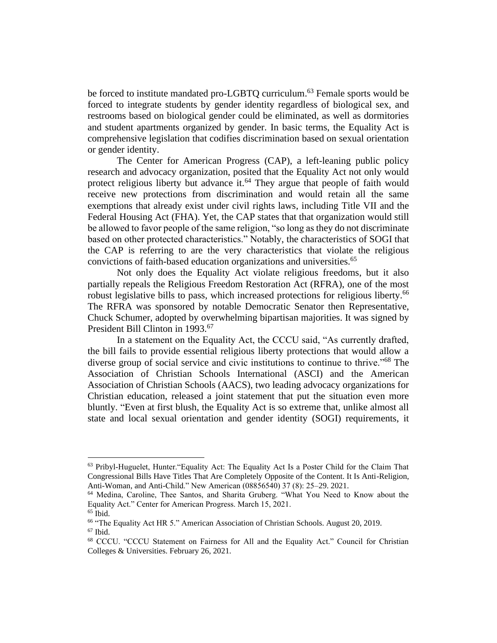be forced to institute mandated pro-LGBTQ curriculum.<sup>63</sup> Female sports would be forced to integrate students by gender identity regardless of biological sex, and restrooms based on biological gender could be eliminated, as well as dormitories and student apartments organized by gender. In basic terms, the Equality Act is comprehensive legislation that codifies discrimination based on sexual orientation or gender identity.

The Center for American Progress (CAP), a left-leaning public policy research and advocacy organization, posited that the Equality Act not only would protect religious liberty but advance it.<sup>64</sup> They argue that people of faith would receive new protections from discrimination and would retain all the same exemptions that already exist under civil rights laws, including Title VII and the Federal Housing Act (FHA). Yet, the CAP states that that organization would still be allowed to favor people of the same religion, "so long as they do not discriminate based on other protected characteristics." Notably, the characteristics of SOGI that the CAP is referring to are the very characteristics that violate the religious convictions of faith-based education organizations and universities.<sup>65</sup>

Not only does the Equality Act violate religious freedoms, but it also partially repeals the Religious Freedom Restoration Act (RFRA), one of the most robust legislative bills to pass, which increased protections for religious liberty.<sup>66</sup> The RFRA was sponsored by notable Democratic Senator then Representative, Chuck Schumer, adopted by overwhelming bipartisan majorities. It was signed by President Bill Clinton in 1993.<sup>67</sup>

In a statement on the Equality Act, the CCCU said, "As currently drafted, the bill fails to provide essential religious liberty protections that would allow a diverse group of social service and civic institutions to continue to thrive."<sup>68</sup> The Association of Christian Schools International (ASCI) and the American Association of Christian Schools (AACS), two leading advocacy organizations for Christian education, released a joint statement that put the situation even more bluntly. "Even at first blush, the Equality Act is so extreme that, unlike almost all state and local sexual orientation and gender identity (SOGI) requirements, it

 $63$  Pribyl-Huguelet, Hunter. "Equality Act: The Equality Act Is a Poster Child for the Claim That Congressional Bills Have Titles That Are Completely Opposite of the Content. It Is Anti-Religion, Anti-Woman, and Anti-Child." New American (08856540) 37 (8): 25–29. 2021.

<sup>64</sup> Medina, Caroline, Thee Santos, and Sharita Gruberg. "What You Need to Know about the Equality Act." Center for American Progress. March 15, 2021.

<sup>65</sup> Ibid.

<sup>66</sup> "The Equality Act HR 5." American Association of Christian Schools. August 20, 2019.  $67$  Ibid.

<sup>68</sup> CCCU. "CCCU Statement on Fairness for All and the Equality Act." Council for Christian Colleges & Universities. February 26, 2021.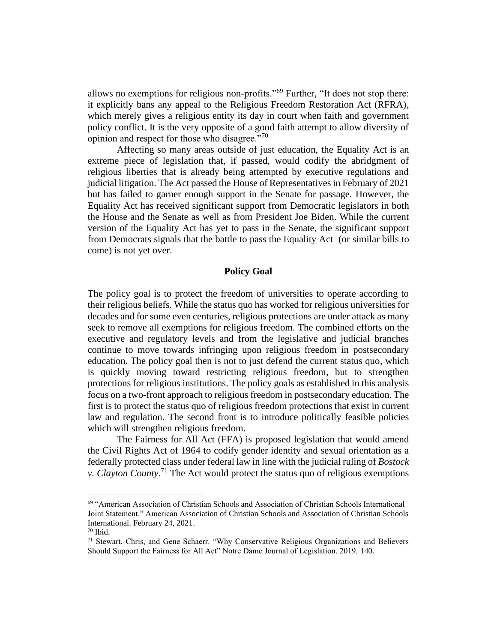allows no exemptions for religious non-profits."<sup>69</sup> Further, "It does not stop there: it explicitly bans any appeal to the Religious Freedom Restoration Act (RFRA), which merely gives a religious entity its day in court when faith and government policy conflict. It is the very opposite of a good faith attempt to allow diversity of opinion and respect for those who disagree."<sup>70</sup>

Affecting so many areas outside of just education, the Equality Act is an extreme piece of legislation that, if passed, would codify the abridgment of religious liberties that is already being attempted by executive regulations and judicial litigation. The Act passed the House of Representatives in February of 2021 but has failed to garner enough support in the Senate for passage. However, the Equality Act has received significant support from Democratic legislators in both the House and the Senate as well as from President Joe Biden. While the current version of the Equality Act has yet to pass in the Senate, the significant support from Democrats signals that the battle to pass the Equality Act (or similar bills to come) is not yet over.

#### **Policy Goal**

The policy goal is to protect the freedom of universities to operate according to their religious beliefs. While the status quo has worked for religious universities for decades and for some even centuries, religious protections are under attack as many seek to remove all exemptions for religious freedom. The combined efforts on the executive and regulatory levels and from the legislative and judicial branches continue to move towards infringing upon religious freedom in postsecondary education. The policy goal then is not to just defend the current status quo, which is quickly moving toward restricting religious freedom, but to strengthen protections for religious institutions. The policy goals as established in this analysis focus on a two-front approach to religious freedom in postsecondary education. The first is to protect the status quo of religious freedom protections that exist in current law and regulation. The second front is to introduce politically feasible policies which will strengthen religious freedom.

The Fairness for All Act (FFA) is proposed legislation that would amend the Civil Rights Act of 1964 to codify gender identity and sexual orientation as a federally protected class under federal law in line with the judicial ruling of *Bostock v. Clayton County*. <sup>71</sup> The Act would protect the status quo of religious exemptions

<sup>69</sup> "American Association of Christian Schools and Association of Christian Schools International Joint Statement." American Association of Christian Schools and Association of Christian Schools International. February 24, 2021.

 $70$  Ibid.

<sup>71</sup> Stewart, Chris, and Gene Schaerr. "Why Conservative Religious Organizations and Believers Should Support the Fairness for All Act" Notre Dame Journal of Legislation. 2019. 140.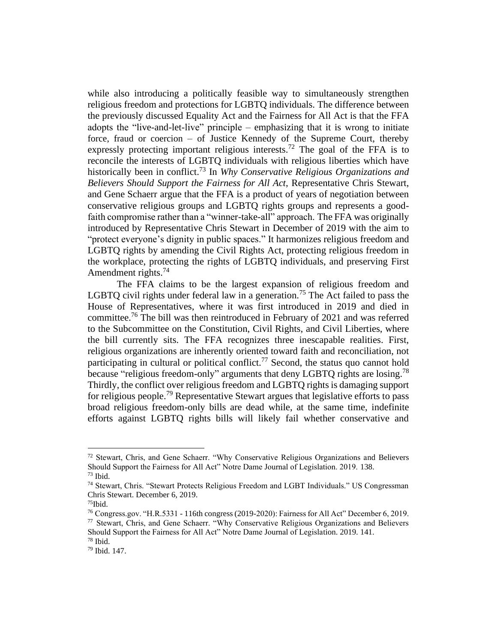while also introducing a politically feasible way to simultaneously strengthen religious freedom and protections for LGBTQ individuals. The difference between the previously discussed Equality Act and the Fairness for All Act is that the FFA adopts the "live-and-let-live" principle – emphasizing that it is wrong to initiate force, fraud or coercion – of Justice Kennedy of the Supreme Court, thereby expressly protecting important religious interests.<sup>72</sup> The goal of the FFA is to reconcile the interests of LGBTQ individuals with religious liberties which have historically been in conflict. <sup>73</sup> In *Why Conservative Religious Organizations and Believers Should Support the Fairness for All Act*, Representative Chris Stewart, and Gene Schaerr argue that the FFA is a product of years of negotiation between conservative religious groups and LGBTQ rights groups and represents a goodfaith compromise rather than a "winner-take-all" approach. The FFA was originally introduced by Representative Chris Stewart in December of 2019 with the aim to "protect everyone's dignity in public spaces." It harmonizes religious freedom and LGBTQ rights by amending the Civil Rights Act, protecting religious freedom in the workplace, protecting the rights of LGBTQ individuals, and preserving First Amendment rights.<sup>74</sup>

The FFA claims to be the largest expansion of religious freedom and LGBTQ civil rights under federal law in a generation.<sup>75</sup> The Act failed to pass the House of Representatives, where it was first introduced in 2019 and died in committee. <sup>76</sup> The bill was then reintroduced in February of 2021 and was referred to the Subcommittee on the Constitution, Civil Rights, and Civil Liberties, where the bill currently sits. The FFA recognizes three inescapable realities. First, religious organizations are inherently oriented toward faith and reconciliation, not participating in cultural or political conflict.<sup>77</sup> Second, the status quo cannot hold because "religious freedom-only" arguments that deny LGBTQ rights are losing.<sup>78</sup> Thirdly, the conflict over religious freedom and LGBTQ rights is damaging support for religious people.<sup>79</sup> Representative Stewart argues that legislative efforts to pass broad religious freedom-only bills are dead while, at the same time, indefinite efforts against LGBTQ rights bills will likely fail whether conservative and

 $72$  Stewart, Chris, and Gene Schaerr. "Why Conservative Religious Organizations and Believers Should Support the Fairness for All Act" Notre Dame Journal of Legislation. 2019. 138.  $73$  Ibid.

<sup>74</sup> Stewart, Chris. "Stewart Protects Religious Freedom and LGBT Individuals." US Congressman Chris Stewart. December 6, 2019.

 $75$ Ibid.

<sup>76</sup> Congress.gov. "H.R.5331 - 116th congress (2019-2020): Fairness for All Act" December 6, 2019. <sup>77</sup> Stewart, Chris, and Gene Schaerr. "Why Conservative Religious Organizations and Believers Should Support the Fairness for All Act" Notre Dame Journal of Legislation. 2019. 141.

<sup>78</sup> Ibid.

<sup>79</sup> Ibid. 147.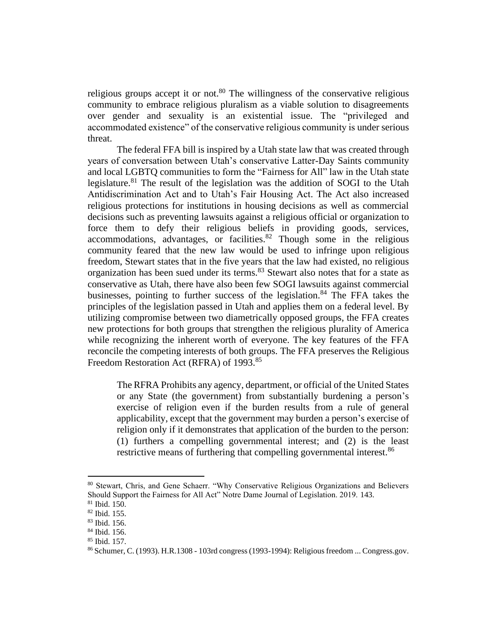religious groups accept it or not. $80$  The willingness of the conservative religious community to embrace religious pluralism as a viable solution to disagreements over gender and sexuality is an existential issue. The "privileged and accommodated existence" of the conservative religious community is under serious threat.

The federal FFA bill is inspired by a Utah state law that was created through years of conversation between Utah's conservative Latter-Day Saints community and local LGBTQ communities to form the "Fairness for All" law in the Utah state legislature.<sup>81</sup> The result of the legislation was the addition of SOGI to the Utah Antidiscrimination Act and to Utah's Fair Housing Act. The Act also increased religious protections for institutions in housing decisions as well as commercial decisions such as preventing lawsuits against a religious official or organization to force them to defy their religious beliefs in providing goods, services, accommodations, advantages, or facilities.<sup>82</sup> Though some in the religious community feared that the new law would be used to infringe upon religious freedom, Stewart states that in the five years that the law had existed, no religious organization has been sued under its terms.<sup>83</sup> Stewart also notes that for a state as conservative as Utah, there have also been few SOGI lawsuits against commercial businesses, pointing to further success of the legislation.<sup>84</sup> The FFA takes the principles of the legislation passed in Utah and applies them on a federal level. By utilizing compromise between two diametrically opposed groups, the FFA creates new protections for both groups that strengthen the religious plurality of America while recognizing the inherent worth of everyone. The key features of the FFA reconcile the competing interests of both groups. The FFA preserves the Religious Freedom Restoration Act (RFRA) of 1993.<sup>85</sup>

The RFRA Prohibits any agency, department, or official of the United States or any State (the government) from substantially burdening a person's exercise of religion even if the burden results from a rule of general applicability, except that the government may burden a person's exercise of religion only if it demonstrates that application of the burden to the person: (1) furthers a compelling governmental interest; and (2) is the least restrictive means of furthering that compelling governmental interest.<sup>86</sup>

<sup>80</sup> Stewart, Chris, and Gene Schaerr. "Why Conservative Religious Organizations and Believers Should Support the Fairness for All Act" Notre Dame Journal of Legislation. 2019. 143.

<sup>81</sup> Ibid. 150.

<sup>82</sup> Ibid. 155.

<sup>83</sup> Ibid. 156.

<sup>84</sup> Ibid. 156.

<sup>85</sup> Ibid. 157.

 $86$  Schumer, C. (1993). H.R. 1308 - 103rd congress (1993-1994): Religious freedom ... Congress.gov.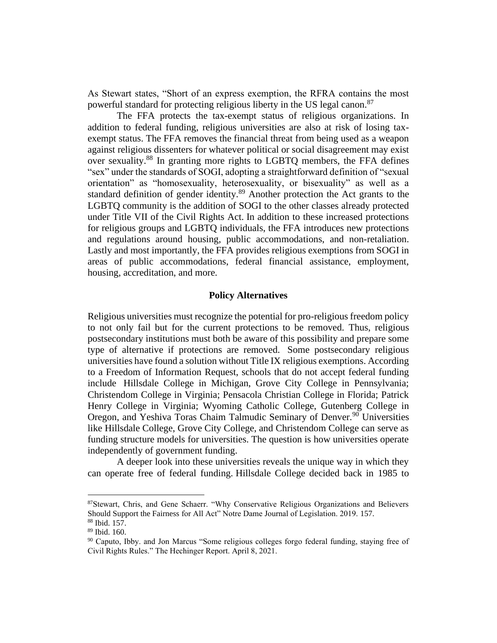As Stewart states, "Short of an express exemption, the RFRA contains the most powerful standard for protecting religious liberty in the US legal canon.<sup>87</sup>

The FFA protects the tax-exempt status of religious organizations. In addition to federal funding, religious universities are also at risk of losing taxexempt status. The FFA removes the financial threat from being used as a weapon against religious dissenters for whatever political or social disagreement may exist over sexuality.<sup>88</sup> In granting more rights to LGBTQ members, the FFA defines "sex" under the standards of SOGI, adopting a straightforward definition of "sexual orientation" as "homosexuality, heterosexuality, or bisexuality" as well as a standard definition of gender identity.<sup>89</sup> Another protection the Act grants to the LGBTQ community is the addition of SOGI to the other classes already protected under Title VII of the Civil Rights Act. In addition to these increased protections for religious groups and LGBTQ individuals, the FFA introduces new protections and regulations around housing, public accommodations, and non-retaliation. Lastly and most importantly, the FFA provides religious exemptions from SOGI in areas of public accommodations, federal financial assistance, employment, housing, accreditation, and more.

### **Policy Alternatives**

Religious universities must recognize the potential for pro-religious freedom policy to not only fail but for the current protections to be removed. Thus, religious postsecondary institutions must both be aware of this possibility and prepare some type of alternative if protections are removed. Some postsecondary religious universities have found a solution without Title IX religious exemptions. According to a Freedom of Information Request, schools that do not accept federal funding include Hillsdale College in Michigan, Grove City College in Pennsylvania; Christendom College in Virginia; Pensacola Christian College in Florida; Patrick Henry College in Virginia; Wyoming Catholic College, Gutenberg College in Oregon, and Yeshiva Toras Chaim Talmudic Seminary of Denver.<sup>90</sup> Universities like Hillsdale College, Grove City College, and Christendom College can serve as funding structure models for universities. The question is how universities operate independently of government funding.

A deeper look into these universities reveals the unique way in which they can operate free of federal funding. Hillsdale College decided back in 1985 to

<sup>87</sup>Stewart, Chris, and Gene Schaerr. "Why Conservative Religious Organizations and Believers Should Support the Fairness for All Act" Notre Dame Journal of Legislation. 2019. 157. <sup>88</sup> Ibid. 157.

<sup>89</sup> Ibid. 160.

<sup>90</sup> Caputo, Ibby. and Jon Marcus "Some religious colleges forgo federal funding, staying free of Civil Rights Rules." The Hechinger Report. April 8, 2021.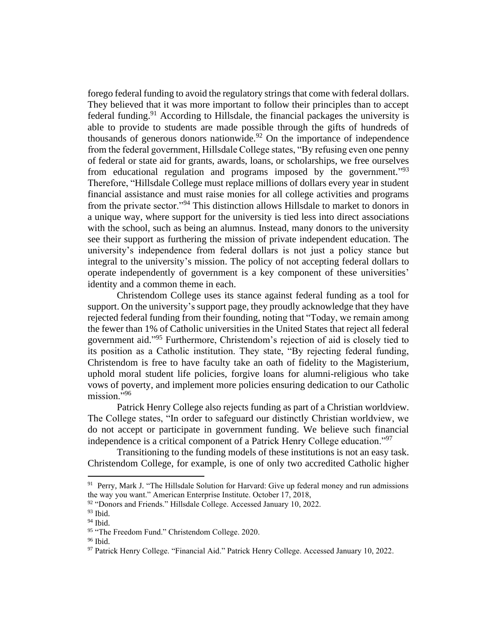forego federal funding to avoid the regulatory strings that come with federal dollars. They believed that it was more important to follow their principles than to accept federal funding.<sup>91</sup> According to Hillsdale, the financial packages the university is able to provide to students are made possible through the gifts of hundreds of thousands of generous donors nationwide.<sup>92</sup> On the importance of independence from the federal government, Hillsdale College states, "By refusing even one penny of federal or state aid for grants, awards, loans, or scholarships, we free ourselves from educational regulation and programs imposed by the government."<sup>93</sup> Therefore, "Hillsdale College must replace millions of dollars every year in student financial assistance and must raise monies for all college activities and programs from the private sector."<sup>94</sup> This distinction allows Hillsdale to market to donors in a unique way, where support for the university is tied less into direct associations with the school, such as being an alumnus. Instead, many donors to the university see their support as furthering the mission of private independent education. The university's independence from federal dollars is not just a policy stance but integral to the university's mission. The policy of not accepting federal dollars to operate independently of government is a key component of these universities' identity and a common theme in each.

Christendom College uses its stance against federal funding as a tool for support. On the university's support page, they proudly acknowledge that they have rejected federal funding from their founding, noting that "Today, we remain among the fewer than 1% of Catholic universities in the United States that reject all federal government aid." <sup>95</sup> Furthermore, Christendom's rejection of aid is closely tied to its position as a Catholic institution. They state, "By rejecting federal funding, Christendom is free to have faculty take an oath of fidelity to the Magisterium, uphold moral student life policies, forgive loans for alumni-religious who take vows of poverty, and implement more policies ensuring dedication to our Catholic mission."<sup>96</sup>

Patrick Henry College also rejects funding as part of a Christian worldview. The College states, "In order to safeguard our distinctly Christian worldview, we do not accept or participate in government funding. We believe such financial independence is a critical component of a Patrick Henry College education."<sup>97</sup>

Transitioning to the funding models of these institutions is not an easy task. Christendom College, for example, is one of only two accredited Catholic higher

<sup>&</sup>lt;sup>91</sup> Perry, Mark J. "The Hillsdale Solution for Harvard: Give up federal money and run admissions the way you want." American Enterprise Institute. October 17, 2018,

<sup>&</sup>lt;sup>92</sup> "Donors and Friends." Hillsdale College. Accessed January 10, 2022.

<sup>93</sup> Ibid.

<sup>94</sup> Ibid.

<sup>95 &</sup>quot;The Freedom Fund." Christendom College. 2020.

<sup>96</sup> Ibid.

<sup>97</sup> Patrick Henry College. "Financial Aid." Patrick Henry College. Accessed January 10, 2022.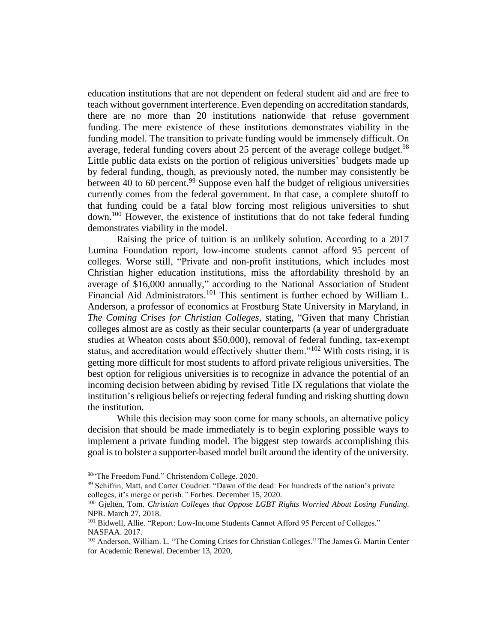education institutions that are not dependent on federal student aid and are free to teach without government interference. Even depending on accreditation standards, there are no more than 20 institutions nationwide that refuse government funding. The mere existence of these institutions demonstrates viability in the funding model. The transition to private funding would be immensely difficult. On average, federal funding covers about 25 percent of the average college budget.<sup>98</sup> Little public data exists on the portion of religious universities' budgets made up by federal funding, though, as previously noted, the number may consistently be between 40 to 60 percent.<sup>99</sup> Suppose even half the budget of religious universities currently comes from the federal government. In that case, a complete shutoff to that funding could be a fatal blow forcing most religious universities to shut down.<sup>100</sup> However, the existence of institutions that do not take federal funding demonstrates viability in the model.

Raising the price of tuition is an unlikely solution. According to a 2017 Lumina Foundation report, low-income students cannot afford 95 percent of colleges. Worse still, "Private and non-profit institutions, which includes most Christian higher education institutions, miss the affordability threshold by an average of \$16,000 annually," according to the National Association of Student Financial Aid Administrators.<sup>101</sup> This sentiment is further echoed by William L. Anderson, a professor of economics at Frostburg State University in Maryland, in *The Coming Crises for Christian Colleges,* stating, "Given that many Christian colleges almost are as costly as their secular counterparts (a year of undergraduate studies at [Wheaton costs about \\$50,000\)](https://www.wheaton.edu/admissions-and-aid/cost-and-aid/cost/), removal of federal funding, tax-exempt status, and accreditation would effectively shutter them."<sup>102</sup> With costs rising, it is getting more difficult for most students to afford private religious universities. The best option for religious universities is to recognize in advance the potential of an incoming decision between abiding by revised Title IX regulations that violate the institution's religious beliefs or rejecting federal funding and risking shutting down the institution.

While this decision may soon come for many schools, an alternative policy decision that should be made immediately is to begin exploring possible ways to implement a private funding model. The biggest step towards accomplishing this goal is to bolster a supporter-based model built around the identity of the university.

<sup>98&</sup>quot;The Freedom Fund." Christendom College. 2020.

<sup>99</sup> Schifrin, Matt, and Carter Coudriet. "Dawn of the dead: For hundreds of the nation's private colleges, it's merge or perish*."* Forbes. December 15, 2020.

<sup>100</sup> Gjelten, Tom. *Christian Colleges that Oppose LGBT Rights Worried About Losing Funding*. NPR. March 27, 2018.

<sup>&</sup>lt;sup>101</sup> Bidwell, Allie. "Report: Low-Income Students Cannot Afford 95 Percent of Colleges." NASFAA. 2017.

<sup>102</sup> Anderson, William. L. "The Coming Crises for Christian Colleges." The James G. Martin Center for Academic Renewal. December 13, 2020,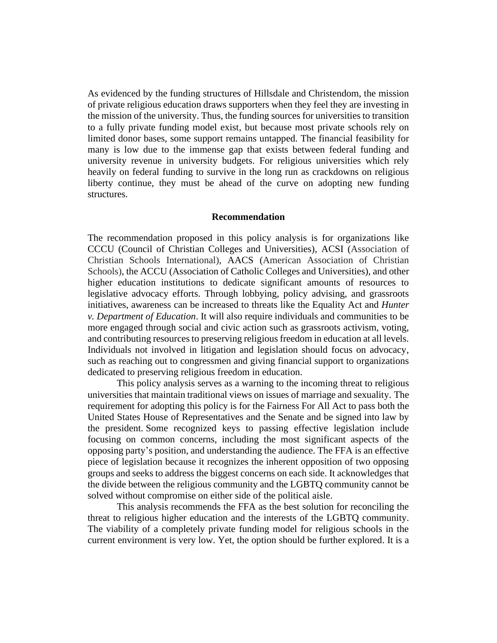As evidenced by the funding structures of Hillsdale and Christendom, the mission of private religious education draws supporters when they feel they are investing in the mission of the university. Thus, the funding sources for universities to transition to a fully private funding model exist, but because most private schools rely on limited donor bases, some support remains untapped. The financial feasibility for many is low due to the immense gap that exists between federal funding and university revenue in university budgets. For religious universities which rely heavily on federal funding to survive in the long run as crackdowns on religious liberty continue, they must be ahead of the curve on adopting new funding structures.

#### **Recommendation**

The recommendation proposed in this policy analysis is for organizations like CCCU (Council of Christian Colleges and Universities), ACSI (Association of Christian Schools International), AACS (American Association of Christian Schools), the ACCU (Association of Catholic Colleges and Universities), and other higher education institutions to dedicate significant amounts of resources to legislative advocacy efforts. Through lobbying, policy advising, and grassroots initiatives, awareness can be increased to threats like the Equality Act and *Hunter v. Department of Education*. It will also require individuals and communities to be more engaged through social and civic action such as grassroots activism, voting, and contributing resources to preserving religious freedom in education at all levels. Individuals not involved in litigation and legislation should focus on advocacy, such as reaching out to congressmen and giving financial support to organizations dedicated to preserving religious freedom in education.

This policy analysis serves as a warning to the incoming threat to religious universities that maintain traditional views on issues of marriage and sexuality. The requirement for adopting this policy is for the Fairness For All Act to pass both the United States House of Representatives and the Senate and be signed into law by the president. Some recognized keys to passing effective legislation include focusing on common concerns, including the most significant aspects of the opposing party's position, and understanding the audience. The FFA is an effective piece of legislation because it recognizes the inherent opposition of two opposing groups and seeks to address the biggest concerns on each side. It acknowledges that the divide between the religious community and the LGBTQ community cannot be solved without compromise on either side of the political aisle.

This analysis recommends the FFA as the best solution for reconciling the threat to religious higher education and the interests of the LGBTQ community. The viability of a completely private funding model for religious schools in the current environment is very low. Yet, the option should be further explored. It is a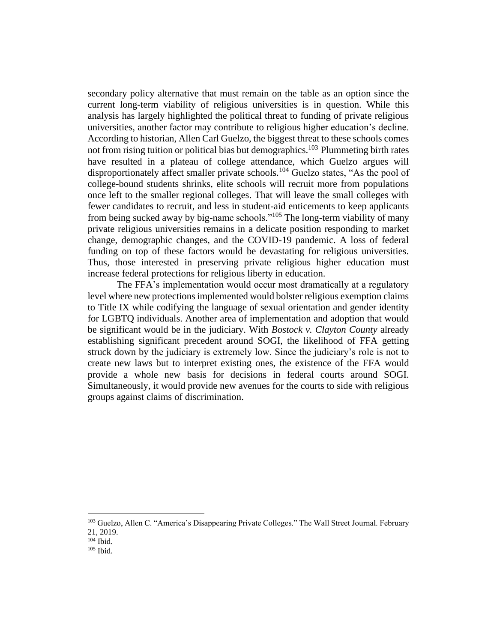secondary policy alternative that must remain on the table as an option since the current long-term viability of religious universities is in question. While this analysis has largely highlighted the political threat to funding of private religious universities, another factor may contribute to religious higher education's decline. According to historian, Allen Carl Guelzo, the biggest threat to these schools comes not from rising tuition or political bias but demographics.<sup>103</sup> Plummeting birth rates have resulted in a plateau of college attendance, which Guelzo argues will disproportionately affect smaller private schools.<sup>104</sup> Guelzo states, "As the pool of college-bound students shrinks, elite schools will recruit more from populations once left to the smaller regional colleges. That will leave the small colleges with fewer candidates to recruit, and less in student-aid enticements to keep applicants from being sucked away by big-name schools."<sup>105</sup> The long-term viability of many private religious universities remains in a delicate position responding to market change, demographic changes, and the COVID-19 pandemic. A loss of federal funding on top of these factors would be devastating for religious universities. Thus, those interested in preserving private religious higher education must increase federal protections for religious liberty in education.

The FFA's implementation would occur most dramatically at a regulatory level where new protections implemented would bolster religious exemption claims to Title IX while codifying the language of sexual orientation and gender identity for LGBTQ individuals. Another area of implementation and adoption that would be significant would be in the judiciary. With *Bostock v. Clayton County* already establishing significant precedent around SOGI, the likelihood of FFA getting struck down by the judiciary is extremely low. Since the judiciary's role is not to create new laws but to interpret existing ones, the existence of the FFA would provide a whole new basis for decisions in federal courts around SOGI. Simultaneously, it would provide new avenues for the courts to side with religious groups against claims of discrimination.

<sup>&</sup>lt;sup>103</sup> Guelzo, Allen C. "America's Disappearing Private Colleges." The Wall Street Journal. February 21, 2019.

 $104$  Ibid.

 $105$  Ibid.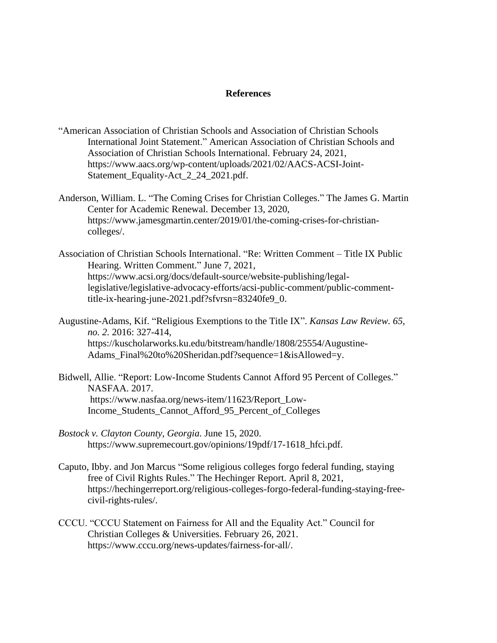### **References**

- "American Association of Christian Schools and Association of Christian Schools International Joint Statement." American Association of Christian Schools and Association of Christian Schools International. February 24, 2021, https://www.aacs.org/wp-content/uploads/2021/02/AACS-ACSI-Joint-Statement\_Equality-Act\_2\_24\_2021.pdf.
- Anderson, William. L. "The Coming Crises for Christian Colleges." The James G. Martin Center for Academic Renewal. December 13, 2020, https://www.jamesgmartin.center/2019/01/the-coming-crises-for-christiancolleges/.
- Association of Christian Schools International. "Re: Written Comment Title IX Public Hearing. Written Comment." June 7, 2021, https://www.acsi.org/docs/default-source/website-publishing/legallegislative/legislative-advocacy-efforts/acsi-public-comment/public-commenttitle-ix-hearing-june-2021.pdf?sfvrsn=83240fe9\_0.
- Augustine-Adams, Kif. "Religious Exemptions to the Title IX". *Kansas Law Review. 65, no. 2.* 2016: 327-414, https://kuscholarworks.ku.edu/bitstream/handle/1808/25554/Augustine-Adams\_Final%20to%20Sheridan.pdf?sequence=1&isAllowed=y.
- Bidwell, Allie. "Report: Low-Income Students Cannot Afford 95 Percent of Colleges." NASFAA. 2017. https://www.nasfaa.org/news-item/11623/Report\_Low-Income\_Students\_Cannot\_Afford\_95\_Percent\_of\_Colleges
- *Bostock v. Clayton County, Georgia.* June 15, 2020. https://www.supremecourt.gov/opinions/19pdf/17-1618\_hfci.pdf.
- Caputo, Ibby. and Jon Marcus "Some religious colleges forgo federal funding, staying free of Civil Rights Rules." The Hechinger Report. April 8, 2021, https://hechingerreport.org/religious-colleges-forgo-federal-funding-staying-freecivil-rights-rules/.
- CCCU. "CCCU Statement on Fairness for All and the Equality Act." Council for Christian Colleges & Universities. February 26, 2021. https://www.cccu.org/news-updates/fairness-for-all/.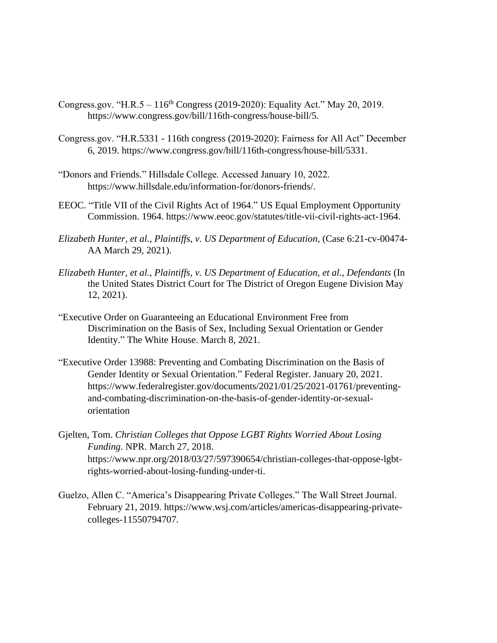- Congress.gov. "H.R.5  $116<sup>th</sup>$  Congress (2019-2020): Equality Act." May 20, 2019. https://www.congress.gov/bill/116th-congress/house-bill/5.
- Congress.gov. "H.R.5331 116th congress (2019-2020): Fairness for All Act" December 6, 2019. https://www.congress.gov/bill/116th-congress/house-bill/5331.
- "Donors and Friends." Hillsdale College. Accessed January 10, 2022. https://www.hillsdale.edu/information-for/donors-friends/.
- EEOC. "Title VII of the Civil Rights Act of 1964." US Equal Employment Opportunity Commission. 1964. https://www.eeoc.gov/statutes/title-vii-civil-rights-act-1964.
- *Elizabeth Hunter, et al., Plaintiffs, v. US Department of Education*, (Case 6:21-cv-00474- AA March 29, 2021).
- *Elizabeth Hunter, et al., Plaintiffs, v. US Department of Education, et al., Defendants* (In the United States District Court for The District of Oregon Eugene Division May 12, 2021).
- "Executive Order on Guaranteeing an Educational Environment Free from Discrimination on the Basis of Sex, Including Sexual Orientation or Gender Identity." The White House. March 8, 2021.
- "Executive Order 13988: Preventing and Combating Discrimination on the Basis of Gender Identity or Sexual Orientation." Federal Register. January 20, 2021. https://www.federalregister.gov/documents/2021/01/25/2021-01761/preventingand-combating-discrimination-on-the-basis-of-gender-identity-or-sexualorientation
- Gjelten, Tom. *Christian Colleges that Oppose LGBT Rights Worried About Losing Funding*. NPR. March 27, 2018. https://www.npr.org/2018/03/27/597390654/christian-colleges-that-oppose-lgbtrights-worried-about-losing-funding-under-ti.
- Guelzo, Allen C. "America's Disappearing Private Colleges." The Wall Street Journal. February 21, 2019. https://www.wsj.com/articles/americas-disappearing-privatecolleges-11550794707.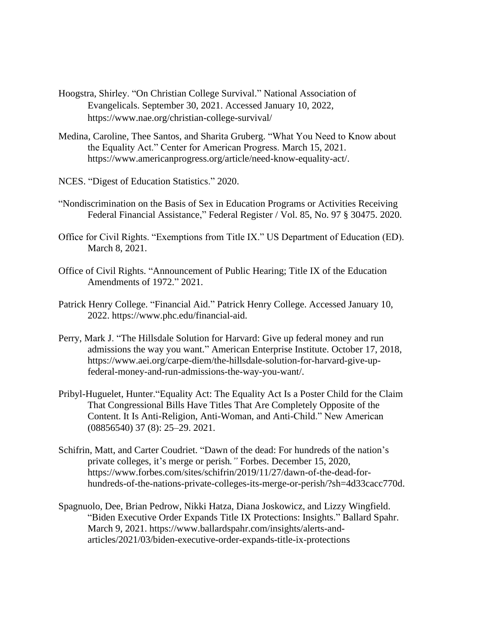- Hoogstra, Shirley. "On Christian College Survival." National Association of Evangelicals. September 30, 2021. Accessed January 10, 2022, https://www.nae.org/christian-college-survival/
- Medina, Caroline, Thee Santos, and Sharita Gruberg. "What You Need to Know about the Equality Act." Center for American Progress. March 15, 2021. https://www.americanprogress.org/article/need-know-equality-act/.
- NCES. "Digest of Education Statistics." 2020.
- "Nondiscrimination on the Basis of Sex in Education Programs or Activities Receiving Federal Financial Assistance," Federal Register / Vol. 85, No. 97 § 30475. 2020.
- Office for Civil Rights. "Exemptions from Title IX." US Department of Education (ED). March 8, 2021.
- Office of Civil Rights. "Announcement of Public Hearing; Title IX of the Education Amendments of 1972." 2021.
- Patrick Henry College. "Financial Aid." Patrick Henry College. Accessed January 10, 2022. https://www.phc.edu/financial-aid.
- Perry, Mark J. "The Hillsdale Solution for Harvard: Give up federal money and run admissions the way you want." American Enterprise Institute. October 17, 2018, https://www.aei.org/carpe-diem/the-hillsdale-solution-for-harvard-give-upfederal-money-and-run-admissions-the-way-you-want/.
- Pribyl-Huguelet, Hunter."Equality Act: The Equality Act Is a Poster Child for the Claim That Congressional Bills Have Titles That Are Completely Opposite of the Content. It Is Anti-Religion, Anti-Woman, and Anti-Child." New American (08856540) 37 (8): 25–29. 2021.
- Schifrin, Matt, and Carter Coudriet. "Dawn of the dead: For hundreds of the nation's private colleges, it's merge or perish*."* Forbes. December 15, 2020, https://www.forbes.com/sites/schifrin/2019/11/27/dawn-of-the-dead-forhundreds-of-the-nations-private-colleges-its-merge-or-perish/?sh=4d33cacc770d.
- Spagnuolo, Dee, Brian Pedrow, Nikki Hatza, Diana Joskowicz, and Lizzy Wingfield. "Biden Executive Order Expands Title IX Protections: Insights." Ballard Spahr. March 9, 2021. https://www.ballardspahr.com/insights/alerts-andarticles/2021/03/biden-executive-order-expands-title-ix-protections